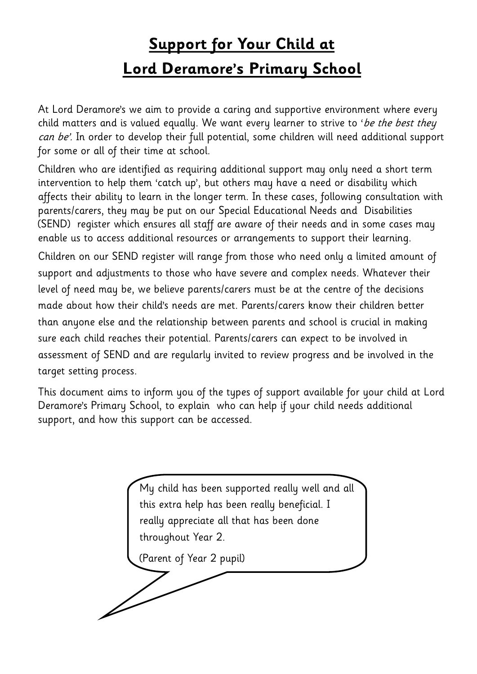# **Support for Your Child at Lord Deramore's Primary School**

At Lord Deramore's we aim to provide a caring and supportive environment where every child matters and is valued equally. We want every learner to strive to 'be the best they can be'. In order to develop their full potential, some children will need additional support for some or all of their time at school.

Children who are identified as requiring additional support may only need a short term intervention to help them 'catch up', but others may have a need or disability which affects their ability to learn in the longer term. In these cases, following consultation with parents/carers, they may be put on our Special Educational Needs and Disabilities (SEND) register which ensures all staff are aware of their needs and in some cases may enable us to access additional resources or arrangements to support their learning.

Children on our SEND register will range from those who need only a limited amount of support and adjustments to those who have severe and complex needs. Whatever their level of need may be, we believe parents/carers must be at the centre of the decisions made about how their child's needs are met. Parents/carers know their children better than anyone else and the relationship between parents and school is crucial in making sure each child reaches their potential. Parents/carers can expect to be involved in assessment of SEND and are regularly invited to review progress and be involved in the target setting process.

This document aims to inform you of the types of support available for your child at Lord Deramore's Primary School, to explain who can help if your child needs additional support, and how this support can be accessed.

My child has been supported really well and all this extra help has been really beneficial. I really appreciate all that has been done throughout Year 2. (Parent of Year 2 pupil)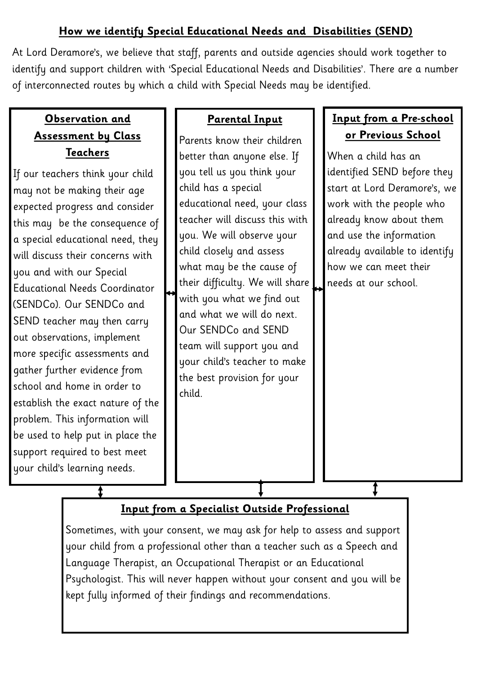## **How we identify Special Educational Needs and Disabilities (SEND)**

At Lord Deramore's, we believe that staff, parents and outside agencies should work together to identify and support children with 'Special Educational Needs and Disabilities'. There are a number of interconnected routes by which a child with Special Needs may be identified.

## **Observation and Assessment by Class Teachers**

If our teachers think your child may not be making their age expected progress and consider this may be the consequence of a special educational need, they will discuss their concerns with you and with our Special Educational Needs Coordinator (SENDCo). Our SENDCo and SEND teacher may then carry out observations, implement more specific assessments and gather further evidence from school and home in order to establish the exact nature of the problem. This information will be used to help put in place the support required to best meet your child's learning needs.

## **Parental Input**

Parents know their children better than anyone else. If you tell us you think your child has a special educational need, your class teacher will discuss this with you. We will observe your child closely and assess what may be the cause of their difficulty. We will share with you what we find out and what we will do next. Our SENDCo and SEND team will support you and your child's teacher to make the best provision for your child.

# **Input from a Pre-school or Previous School**

When a child has an identified SEND before they start at Lord Deramore's, we work with the people who already know about them and use the information already available to identify how we can meet their needs at our school.

# **Input from a Specialist Outside Professional**

Sometimes, with your consent, we may ask for help to assess and support your child from a professional other than a teacher such as a Speech and Language Therapist, an Occupational Therapist or an Educational Psychologist. This will never happen without your consent and you will be kept fully informed of their findings and recommendations.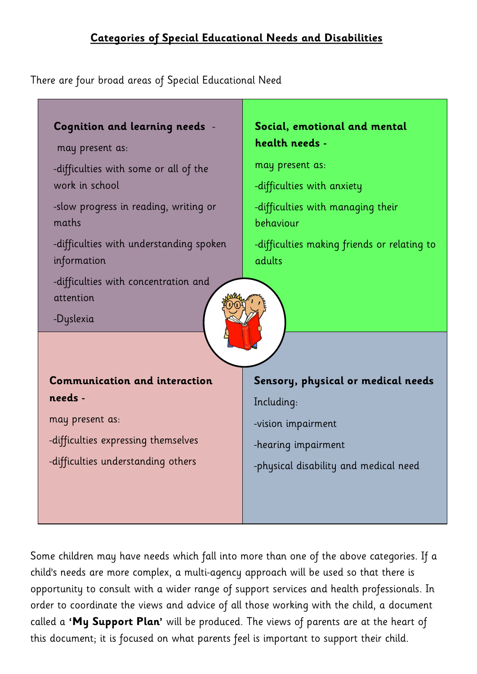## **Categories of Special Educational Needs and Disabilities**

There are four broad areas of Special Educational Need



Some children may have needs which fall into more than one of the above categories. If a child's needs are more complex, a multi-agency approach will be used so that there is opportunity to consult with a wider range of support services and health professionals. In order to coordinate the views and advice of all those working with the child, a document called a **'My Support Plan'** will be produced. The views of parents are at the heart of this document; it is focused on what parents feel is important to support their child.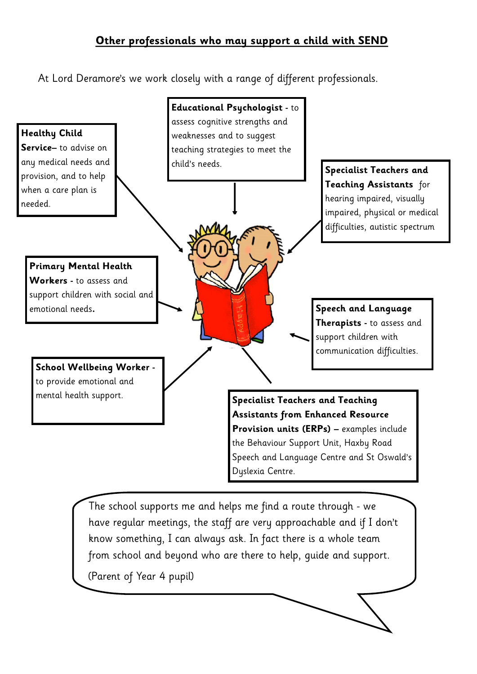## **Other professionals who may support a child with SEND**

At Lord Deramore's we work closely with a range of different professionals.



The school supports me and helps me find a route through - we have regular meetings, the staff are very approachable and if I don't know something, I can always ask. In fact there is a whole team from school and beyond who are there to help, guide and support.

(Parent of Year 4 pupil)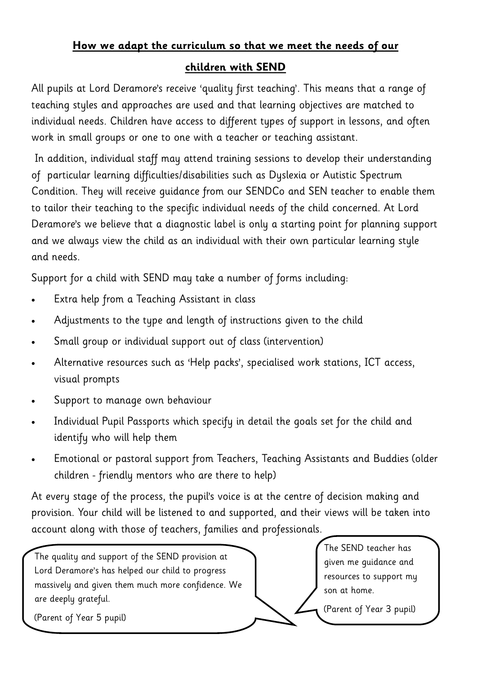#### **How we adapt the curriculum so that we meet the needs of our**

#### **children with SEND**

All pupils at Lord Deramore's receive 'quality first teaching'. This means that a range of teaching styles and approaches are used and that learning objectives are matched to individual needs. Children have access to different types of support in lessons, and often work in small groups or one to one with a teacher or teaching assistant.

In addition, individual staff may attend training sessions to develop their understanding of particular learning difficulties/disabilities such as Dyslexia or Autistic Spectrum Condition. They will receive guidance from our SENDCo and SEN teacher to enable them to tailor their teaching to the specific individual needs of the child concerned. At Lord Deramore's we believe that a diagnostic label is only a starting point for planning support and we always view the child as an individual with their own particular learning style and needs.

Support for a child with SEND may take a number of forms including:

- Extra help from a Teaching Assistant in class
- Adjustments to the type and length of instructions given to the child
- Small group or individual support out of class (intervention)
- Alternative resources such as 'Help packs', specialised work stations, ICT access, visual prompts
- Support to manage own behaviour
- Individual Pupil Passports which specify in detail the goals set for the child and identify who will help them
- Emotional or pastoral support from Teachers, Teaching Assistants and Buddies (older children - friendly mentors who are there to help)

At every stage of the process, the pupil's voice is at the centre of decision making and provision. Your child will be listened to and supported, and their views will be taken into account along with those of teachers, families and professionals.

The quality and support of the SEND provision at Lord Deramore's has helped our child to progress massively and given them much more confidence. We are deeply grateful.

The SEND teacher has given me guidance and resources to support my son at home.

(Parent of Year 5 pupil)

(Parent of Year 3 pupil)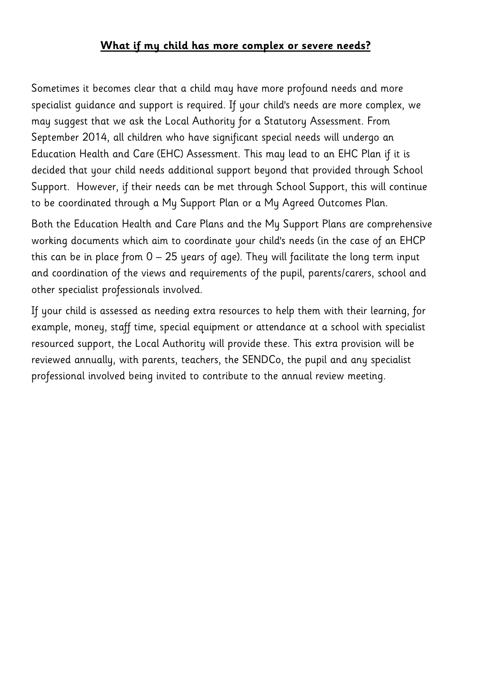#### **What if my child has more complex or severe needs?**

Sometimes it becomes clear that a child may have more profound needs and more specialist guidance and support is required. If your child's needs are more complex, we may suggest that we ask the Local Authority for a Statutory Assessment. From September 2014, all children who have significant special needs will undergo an Education Health and Care (EHC) Assessment. This may lead to an EHC Plan if it is decided that your child needs additional support beyond that provided through School Support. However, if their needs can be met through School Support, this will continue to be coordinated through a My Support Plan or a My Agreed Outcomes Plan.

Both the Education Health and Care Plans and the My Support Plans are comprehensive working documents which aim to coordinate your child's needs (in the case of an EHCP this can be in place from  $0 - 25$  years of age). They will facilitate the long term input and coordination of the views and requirements of the pupil, parents/carers, school and other specialist professionals involved.

If your child is assessed as needing extra resources to help them with their learning, for example, money, staff time, special equipment or attendance at a school with specialist resourced support, the Local Authority will provide these. This extra provision will be reviewed annually, with parents, teachers, the SENDCo, the pupil and any specialist professional involved being invited to contribute to the annual review meeting.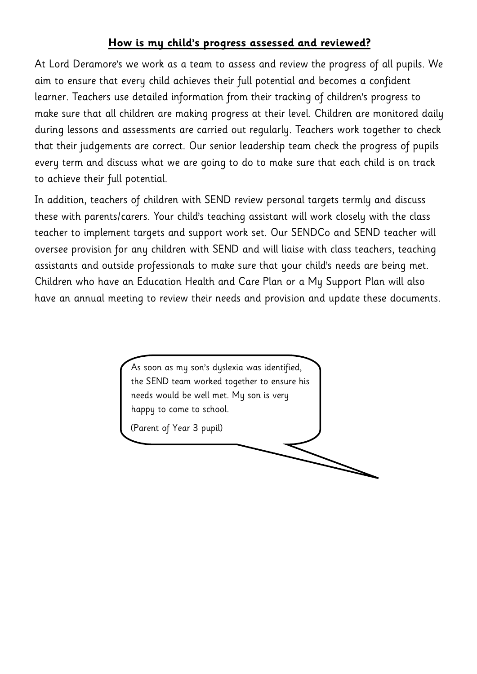#### **How is my child's progress assessed and reviewed?**

At Lord Deramore's we work as a team to assess and review the progress of all pupils. We aim to ensure that every child achieves their full potential and becomes a confident learner. Teachers use detailed information from their tracking of children's progress to make sure that all children are making progress at their level. Children are monitored daily during lessons and assessments are carried out regularly. Teachers work together to check that their judgements are correct. Our senior leadership team check the progress of pupils every term and discuss what we are going to do to make sure that each child is on track to achieve their full potential.

In addition, teachers of children with SEND review personal targets termly and discuss these with parents/carers. Your child's teaching assistant will work closely with the class teacher to implement targets and support work set. Our SENDCo and SEND teacher will oversee provision for any children with SEND and will liaise with class teachers, teaching assistants and outside professionals to make sure that your child's needs are being met. Children who have an Education Health and Care Plan or a My Support Plan will also have an annual meeting to review their needs and provision and update these documents.

> As soon as my son's dyslexia was identified, the SEND team worked together to ensure his needs would be well met. My son is very happy to come to school.

(Parent of Year 3 pupil)